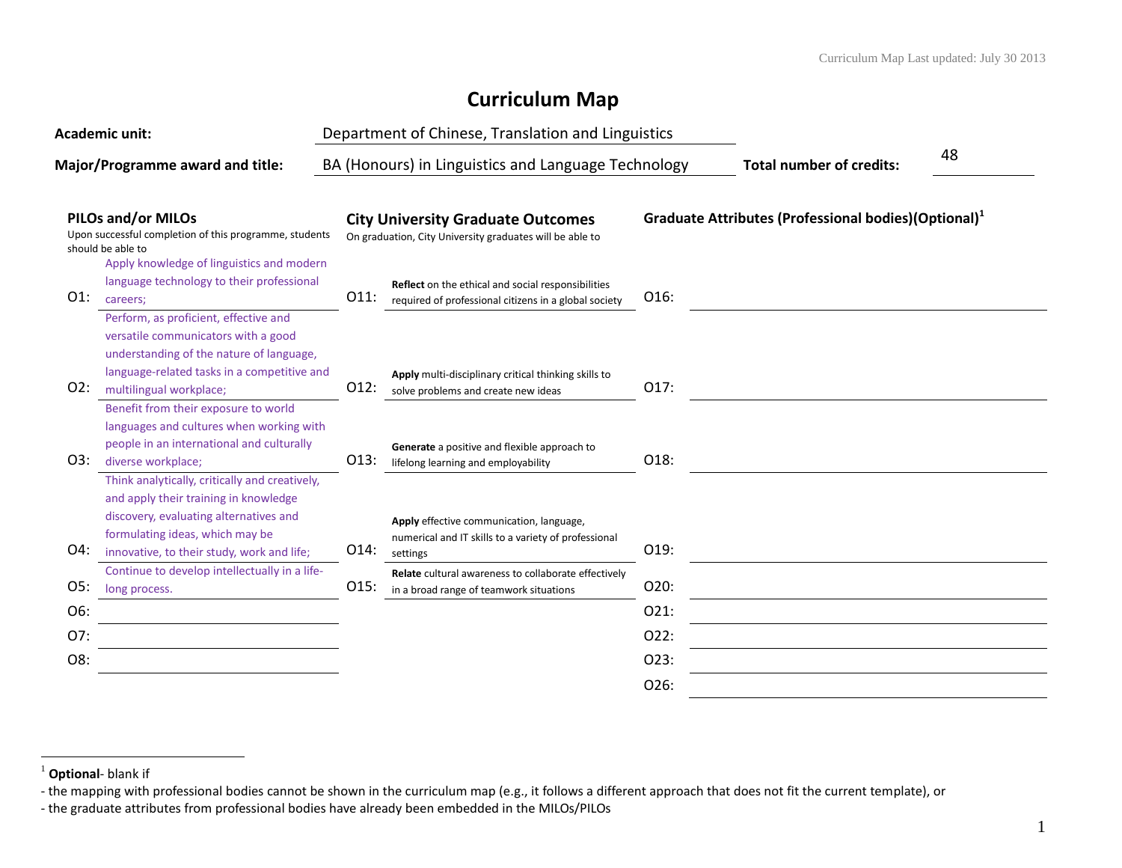## **Curriculum Map**

| <b>Academic unit:</b>            |                                                                                                                                                                                                                    |      | Department of Chinese, Translation and Linguistics                                                           |                                 |                                                                  |  |
|----------------------------------|--------------------------------------------------------------------------------------------------------------------------------------------------------------------------------------------------------------------|------|--------------------------------------------------------------------------------------------------------------|---------------------------------|------------------------------------------------------------------|--|
| Major/Programme award and title: |                                                                                                                                                                                                                    |      | BA (Honours) in Linguistics and Language Technology                                                          | <b>Total number of credits:</b> | 48                                                               |  |
|                                  | <b>PILOs and/or MILOs</b><br>Upon successful completion of this programme, students<br>should be able to                                                                                                           |      | <b>City University Graduate Outcomes</b><br>On graduation, City University graduates will be able to         |                                 | Graduate Attributes (Professional bodies)(Optional) <sup>1</sup> |  |
| $O1$ :                           | Apply knowledge of linguistics and modern<br>language technology to their professional<br>careers:                                                                                                                 | 011: | Reflect on the ethical and social responsibilities<br>required of professional citizens in a global society  | O16:                            |                                                                  |  |
| O2:                              | Perform, as proficient, effective and<br>versatile communicators with a good<br>understanding of the nature of language,<br>language-related tasks in a competitive and<br>multilingual workplace;                 | 012: | Apply multi-disciplinary critical thinking skills to<br>solve problems and create new ideas                  | O17:                            |                                                                  |  |
| O3:                              | Benefit from their exposure to world<br>languages and cultures when working with<br>people in an international and culturally<br>diverse workplace;                                                                | 013: | Generate a positive and flexible approach to<br>lifelong learning and employability                          | O18:                            |                                                                  |  |
| O4:                              | Think analytically, critically and creatively,<br>and apply their training in knowledge<br>discovery, evaluating alternatives and<br>formulating ideas, which may be<br>innovative, to their study, work and life; | O14: | Apply effective communication, language,<br>numerical and IT skills to a variety of professional<br>settings | O19:                            |                                                                  |  |
| O5:                              | Continue to develop intellectually in a life-<br>long process.                                                                                                                                                     | 015: | Relate cultural awareness to collaborate effectively<br>in a broad range of teamwork situations              | O20:                            |                                                                  |  |
| O6:                              |                                                                                                                                                                                                                    |      |                                                                                                              | O21:                            |                                                                  |  |
| O7:                              |                                                                                                                                                                                                                    |      |                                                                                                              | O22:                            |                                                                  |  |
| O8:                              |                                                                                                                                                                                                                    |      |                                                                                                              | O23:                            |                                                                  |  |
|                                  |                                                                                                                                                                                                                    |      |                                                                                                              | O26:                            |                                                                  |  |

 $\overline{a}$ 

<sup>1</sup> **Optional**- blank if

<sup>-</sup> the mapping with professional bodies cannot be shown in the curriculum map (e.g., it follows a different approach that does not fit the current template), or

<sup>-</sup> the graduate attributes from professional bodies have already been embedded in the MILOs/PILOs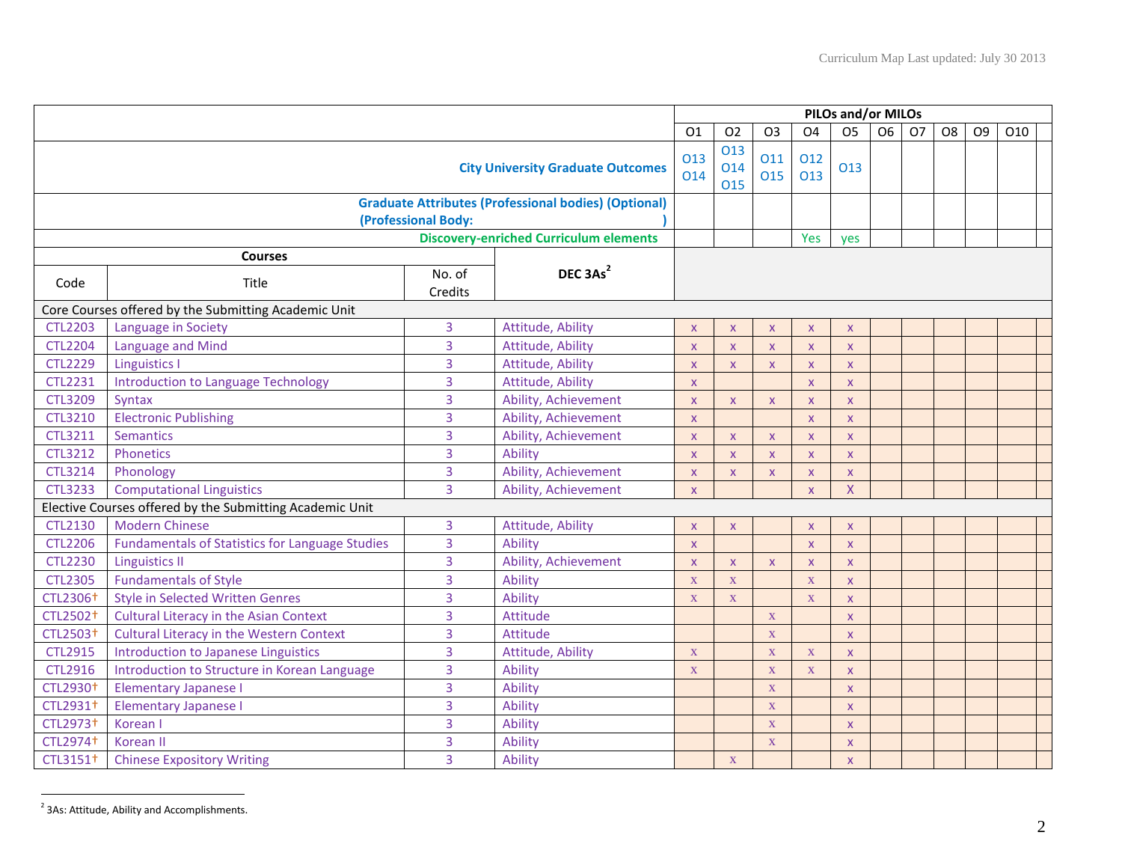|                                                                                    |                                                          |                   |                                               | <b>PILOs and/or MILOs</b> |                           |                |                         |                         |    |           |                |                |     |  |
|------------------------------------------------------------------------------------|----------------------------------------------------------|-------------------|-----------------------------------------------|---------------------------|---------------------------|----------------|-------------------------|-------------------------|----|-----------|----------------|----------------|-----|--|
|                                                                                    |                                                          |                   |                                               | O <sub>1</sub>            | O <sub>2</sub>            | O <sub>3</sub> | O <sub>4</sub>          | O <sub>5</sub>          | O6 | <b>O7</b> | O <sub>8</sub> | O <sub>9</sub> | O10 |  |
| <b>City University Graduate Outcomes</b>                                           |                                                          |                   |                                               |                           | 013<br>014<br>015         | 011<br>015     | 012<br>013              | 013                     |    |           |                |                |     |  |
| <b>Graduate Attributes (Professional bodies) (Optional)</b><br>(Professional Body: |                                                          |                   |                                               |                           |                           |                |                         |                         |    |           |                |                |     |  |
|                                                                                    |                                                          |                   | <b>Discovery-enriched Curriculum elements</b> |                           |                           |                | Yes                     | yes                     |    |           |                |                |     |  |
| Code                                                                               | <b>Courses</b><br>Title                                  | No. of<br>Credits | DEC 3As <sup>2</sup>                          |                           |                           |                |                         |                         |    |           |                |                |     |  |
|                                                                                    | Core Courses offered by the Submitting Academic Unit     |                   |                                               |                           |                           |                |                         |                         |    |           |                |                |     |  |
| <b>CTL2203</b>                                                                     | Language in Society                                      | $\overline{3}$    | Attitude, Ability                             | $\mathsf{x}$              | $\boldsymbol{\mathsf{x}}$ | $\mathsf{x}$   | $\pmb{\times}$          | X.                      |    |           |                |                |     |  |
| <b>CTL2204</b>                                                                     | Language and Mind                                        | $\overline{3}$    | Attitude, Ability                             | $\pmb{\mathsf{X}}$        | $\mathsf{x}$              | $\mathsf X$    | $\pmb{\times}$          | X                       |    |           |                |                |     |  |
| <b>CTL2229</b>                                                                     | <b>Linguistics I</b>                                     | $\overline{3}$    | Attitude, Ability                             | $\mathsf{x}$              | $\mathsf{x}$              | $\mathsf{x}$   | $\mathsf X$             | X.                      |    |           |                |                |     |  |
| <b>CTL2231</b>                                                                     | <b>Introduction to Language Technology</b>               | $\overline{3}$    | Attitude, Ability                             | $\boldsymbol{\mathsf{X}}$ |                           |                | $\mathsf{x}$            | X.                      |    |           |                |                |     |  |
| <b>CTL3209</b>                                                                     | <b>Syntax</b>                                            | $\overline{3}$    | Ability, Achievement                          | $\mathsf{x}$              | $\mathsf{x}$              | $\mathsf{X}$   | $\mathsf{x}$            | X.                      |    |           |                |                |     |  |
| <b>CTL3210</b>                                                                     | <b>Electronic Publishing</b>                             | 3                 | Ability, Achievement                          | $\boldsymbol{\mathsf{X}}$ |                           |                | $\pmb{\times}$          | X.                      |    |           |                |                |     |  |
| <b>CTL3211</b>                                                                     | <b>Semantics</b>                                         | 3                 | Ability, Achievement                          | $\mathsf{x}$              | $\overline{\mathsf{x}}$   | $\mathsf{X}$   | $\overline{\mathsf{x}}$ | $\mathsf{X}$            |    |           |                |                |     |  |
| <b>CTL3212</b>                                                                     | Phonetics                                                | 3                 | Ability                                       | $\mathsf{x}$              | $\overline{\mathsf{x}}$   | $\mathsf{X}$   | $\mathsf{x}$            | $\mathsf{X}$            |    |           |                |                |     |  |
| <b>CTL3214</b>                                                                     | Phonology                                                | 3                 | Ability, Achievement                          | $\mathsf{x}$              | $\mathsf{x}$              | $\mathsf{X}$   | $\pmb{\times}$          | X.                      |    |           |                |                |     |  |
| <b>CTL3233</b>                                                                     | <b>Computational Linguistics</b>                         | $\overline{3}$    | Ability, Achievement                          | $\mathsf{X}$              |                           |                | $\mathsf{x}$            | $\overline{X}$          |    |           |                |                |     |  |
|                                                                                    | Elective Courses offered by the Submitting Academic Unit |                   |                                               |                           |                           |                |                         |                         |    |           |                |                |     |  |
| <b>CTL2130</b>                                                                     | <b>Modern Chinese</b>                                    | 3                 | Attitude, Ability                             | X                         | $\boldsymbol{\mathsf{x}}$ |                | $\mathsf{x}$            | X.                      |    |           |                |                |     |  |
| <b>CTL2206</b>                                                                     | <b>Fundamentals of Statistics for Language Studies</b>   | 3                 | Ability                                       | $\mathsf{x}$              |                           |                | $\bar{\mathbf{x}}$      | $\mathsf{X}$            |    |           |                |                |     |  |
| <b>CTL2230</b>                                                                     | <b>Linguistics II</b>                                    | 3                 | Ability, Achievement                          | $\mathsf{x}$              | $\mathsf{x}$              | $\mathsf{X}$   | $\overline{\mathsf{x}}$ | X.                      |    |           |                |                |     |  |
| <b>CTL2305</b>                                                                     | <b>Fundamentals of Style</b>                             | 3                 | Ability                                       | $\mathbf X$               | $\mathbf X$               |                | $\mathbf X$             | X.                      |    |           |                |                |     |  |
| CTL2306 <sup>+</sup>                                                               | <b>Style in Selected Written Genres</b>                  | 3                 | Ability                                       | $\mathbf X$               | X                         |                | $\mathbf X$             | <b>X</b>                |    |           |                |                |     |  |
| CTL2502 <sup>+</sup>                                                               | <b>Cultural Literacy in the Asian Context</b>            | 3                 | Attitude                                      |                           |                           | X              |                         | <b>X</b>                |    |           |                |                |     |  |
| CTL2503+                                                                           | <b>Cultural Literacy in the Western Context</b>          | 3                 | Attitude                                      |                           |                           | $\mathbf X$    |                         | $\mathsf X$             |    |           |                |                |     |  |
| <b>CTL2915</b>                                                                     | Introduction to Japanese Linguistics                     | 3                 | Attitude, Ability                             | $\mathbf X$               |                           | $\mathbf X$    | $\mathbf X$             | $\mathsf X$             |    |           |                |                |     |  |
| <b>CTL2916</b>                                                                     | Introduction to Structure in Korean Language             | 3                 | Ability                                       | $\mathbf X$               |                           | $\mathbf X$    | $\mathbf X$             | X                       |    |           |                |                |     |  |
| CTL2930 <sup>+</sup>                                                               | <b>Elementary Japanese I</b>                             | 3                 | Ability                                       |                           |                           | $\mathbf X$    |                         | X.                      |    |           |                |                |     |  |
| CTL2931+                                                                           | <b>Elementary Japanese I</b>                             | 3                 | Ability                                       |                           |                           | $\mathbf X$    |                         | $\overline{\mathsf{x}}$ |    |           |                |                |     |  |
| CTL2973 <sup>+</sup>                                                               | Korean I                                                 | 3                 | Ability                                       |                           |                           | $\mathbf{X}$   |                         | $\mathsf{X}$            |    |           |                |                |     |  |
| CTL2974 <sup>+</sup>                                                               | Korean II                                                | 3                 | Ability                                       |                           |                           | $\mathbf X$    |                         | X.                      |    |           |                |                |     |  |
| CTL3151 <sup>+</sup>                                                               | <b>Chinese Expository Writing</b>                        | 3                 | Ability                                       |                           | X                         |                |                         | $\mathsf{X}$            |    |           |                |                |     |  |

**<sup>2</sup>**<br>2 3As: Attitude, Ability and Accomplishments.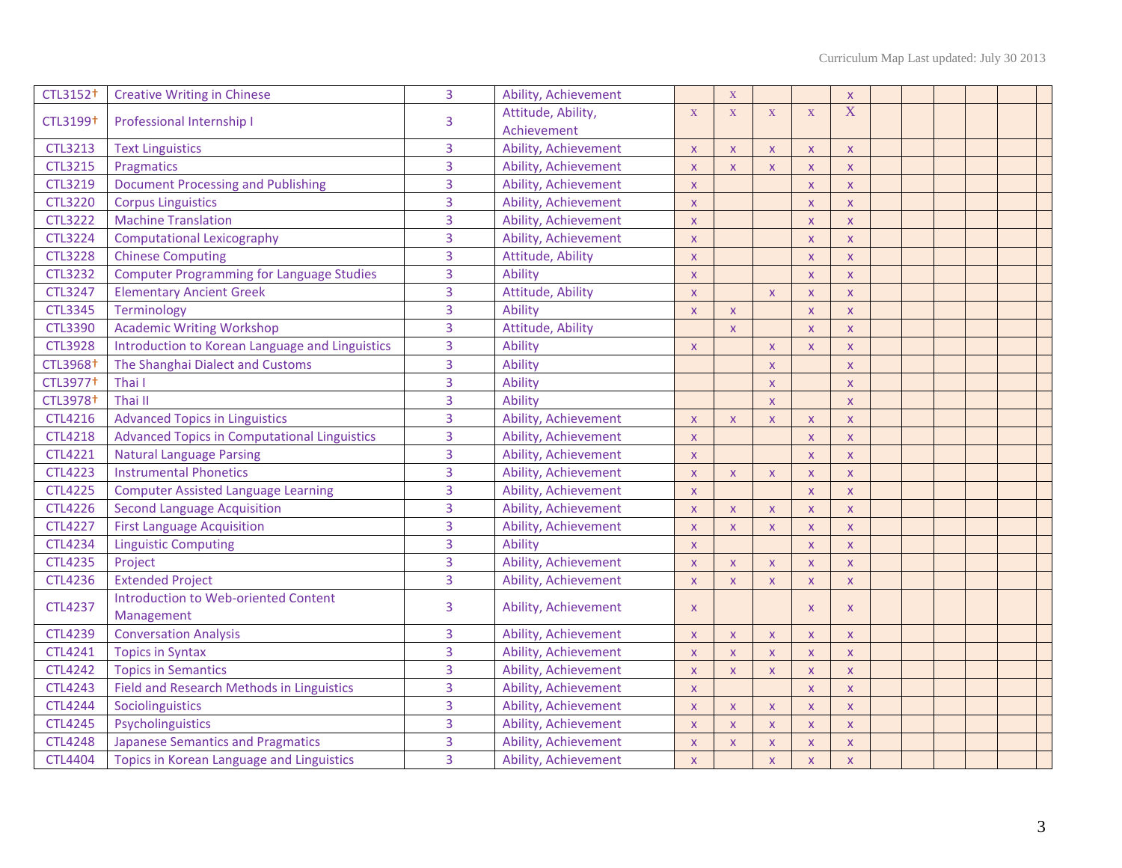| CTL3152 <sup>+</sup> | <b>Creative Writing in Chinese</b>                  | 3              | Ability, Achievement              |                           | $\mathbf X$             |                         |                         | $\pmb{\times}$            |  |  |  |
|----------------------|-----------------------------------------------------|----------------|-----------------------------------|---------------------------|-------------------------|-------------------------|-------------------------|---------------------------|--|--|--|
| CTL3199 <sup>+</sup> | Professional Internship I                           | 3              | Attitude, Ability,<br>Achievement | X                         | $\overline{X}$          | $\mathbf X$             | $\mathbf X$             | X                         |  |  |  |
| <b>CTL3213</b>       | <b>Text Linguistics</b>                             | 3              | Ability, Achievement              | $\overline{\mathsf{X}}$   | $\mathsf{X}$            | $\pmb{\times}$          | $\mathsf{x}$            | $\mathsf{x}$              |  |  |  |
| <b>CTL3215</b>       | Pragmatics                                          | 3              | Ability, Achievement              | $\overline{\mathsf{x}}$   | $\mathbf{x}$            | $\overline{\mathsf{x}}$ | $\overline{\mathsf{x}}$ | $\overline{\mathsf{x}}$   |  |  |  |
| CTL3219              | <b>Document Processing and Publishing</b>           | 3              | Ability, Achievement              | $\overline{\mathsf{X}}$   |                         |                         | $\mathsf{x}$            | $\pmb{\times}$            |  |  |  |
| <b>CTL3220</b>       | <b>Corpus Linguistics</b>                           | 3              | Ability, Achievement              | $\mathsf{x}$              |                         |                         | $\mathsf{x}$            | $\mathsf{x}$              |  |  |  |
| <b>CTL3222</b>       | <b>Machine Translation</b>                          | 3              | Ability, Achievement              | $\mathsf{x}$              |                         |                         | $\mathsf{x}$            | $\mathsf{x}$              |  |  |  |
| <b>CTL3224</b>       | <b>Computational Lexicography</b>                   | 3              | Ability, Achievement              | $\mathsf{x}$              |                         |                         | $\mathsf{x}$            | $\mathsf{x}$              |  |  |  |
| <b>CTL3228</b>       | <b>Chinese Computing</b>                            | 3              | Attitude, Ability                 | $\overline{\mathsf{X}}$   |                         |                         | $\mathsf{x}$            | $\pmb{\times}$            |  |  |  |
| <b>CTL3232</b>       | <b>Computer Programming for Language Studies</b>    | 3              | Ability                           | $\mathsf{x}$              |                         |                         | $\bar{\mathsf{X}}$      | $\pmb{\mathsf{X}}$        |  |  |  |
| <b>CTL3247</b>       | <b>Elementary Ancient Greek</b>                     | $\overline{3}$ | Attitude, Ability                 | $\overline{\mathsf{X}}$   |                         | $\overline{\mathsf{X}}$ | X                       | $\pmb{\times}$            |  |  |  |
| <b>CTL3345</b>       | Terminology                                         | 3              | Ability                           | $\overline{\mathsf{x}}$   | $\overline{\mathsf{x}}$ |                         | $\overline{\mathsf{x}}$ | $\overline{\mathsf{x}}$   |  |  |  |
| <b>CTL3390</b>       | <b>Academic Writing Workshop</b>                    | 3              | Attitude, Ability                 |                           | $\overline{\mathsf{x}}$ |                         | $\overline{\mathsf{x}}$ | $\pmb{\times}$            |  |  |  |
| <b>CTL3928</b>       | Introduction to Korean Language and Linguistics     | 3              | <b>Ability</b>                    | $\overline{\mathsf{X}}$   |                         | $\pmb{\mathsf{X}}$      | $\mathsf{x}$            | $\pmb{\times}$            |  |  |  |
| CTL3968 <sup>+</sup> | The Shanghai Dialect and Customs                    | 3              | Ability                           |                           |                         | $\mathsf X$             |                         | $\mathsf{x}$              |  |  |  |
| CTL3977 <sup>+</sup> | Thai I                                              | 3              | Ability                           |                           |                         | $\pmb{\times}$          |                         | $\mathsf{x}$              |  |  |  |
| CTL3978 <sup>+</sup> | Thai II                                             | 3              | Ability                           |                           |                         | $\mathsf{x}$            |                         | $\pmb{\times}$            |  |  |  |
| CTL4216              | <b>Advanced Topics in Linguistics</b>               | 3              | Ability, Achievement              | $\pmb{\mathsf{X}}$        | $\pmb{\times}$          | $\pmb{\mathsf{X}}$      | $\mathsf X$             | $\pmb{\mathsf{X}}$        |  |  |  |
| <b>CTL4218</b>       | <b>Advanced Topics in Computational Linguistics</b> | 3              | Ability, Achievement              | $\pmb{\times}$            |                         |                         | $\mathsf{x}$            | $\pmb{\times}$            |  |  |  |
| <b>CTL4221</b>       | <b>Natural Language Parsing</b>                     | 3              | Ability, Achievement              | $\pmb{\times}$            |                         |                         | $\mathsf{x}$            | $\pmb{\times}$            |  |  |  |
| <b>CTL4223</b>       | <b>Instrumental Phonetics</b>                       | 3              | Ability, Achievement              | $\mathsf{x}$              | $\mathsf{X}$            | $\pmb{\times}$          | $\mathsf{x}$            | $\mathsf{x}$              |  |  |  |
| <b>CTL4225</b>       | <b>Computer Assisted Language Learning</b>          | 3              | Ability, Achievement              | $\mathsf{x}$              |                         |                         | $\mathsf{x}$            | $\mathsf{x}$              |  |  |  |
| <b>CTL4226</b>       | <b>Second Language Acquisition</b>                  | 3              | Ability, Achievement              | $\mathsf{x}$              | $\mathsf{X}$            | $\mathsf X$             | $\mathsf{X}$            | $\mathsf X$               |  |  |  |
| <b>CTL4227</b>       | <b>First Language Acquisition</b>                   | 3              | Ability, Achievement              | $\mathsf{x}$              | $\mathsf{X}$            | $\mathsf{X}$            | $\mathsf{x}$            | $\mathsf{x}$              |  |  |  |
| <b>CTL4234</b>       | <b>Linguistic Computing</b>                         | 3              | <b>Ability</b>                    | $\mathsf{x}$              |                         |                         | $\mathsf{x}$            | $\mathsf{x}$              |  |  |  |
| <b>CTL4235</b>       | Project                                             | 3              | Ability, Achievement              | $\boldsymbol{\mathsf{X}}$ | $\pmb{\mathsf{X}}$      | $\pmb{\mathsf{X}}$      | X                       | $\mathsf{x}$              |  |  |  |
| <b>CTL4236</b>       | <b>Extended Project</b>                             | $\overline{3}$ | Ability, Achievement              | $\overline{\mathsf{X}}$   | $\mathsf X$             | $\mathsf{x}$            | $\mathsf{x}$            | $\mathsf{x}$              |  |  |  |
| <b>CTL4237</b>       | Introduction to Web-oriented Content<br>Management  | 3              | Ability, Achievement              | $\boldsymbol{\mathsf{X}}$ |                         |                         | X                       | X                         |  |  |  |
| <b>CTL4239</b>       | <b>Conversation Analysis</b>                        | 3              | Ability, Achievement              | $\overline{\mathsf{X}}$   | $\mathsf{X}$            | $\mathsf{X}$            | <b>X</b>                | $\mathsf{x}$              |  |  |  |
| CTL4241              | <b>Topics in Syntax</b>                             | 3              | Ability, Achievement              | $\mathsf{x}$              | $\mathsf X$             | $\mathsf X$             | $\mathsf X$             | X                         |  |  |  |
| <b>CTL4242</b>       | <b>Topics in Semantics</b>                          | 3              | Ability, Achievement              | $\overline{\mathsf{X}}$   | $\mathsf{X}$            | $\pmb{\mathsf{X}}$      | $\mathsf{x}$            | $\mathsf{x}$              |  |  |  |
| <b>CTL4243</b>       | Field and Research Methods in Linguistics           | 3              | Ability, Achievement              | $\overline{\mathsf{x}}$   |                         |                         | $\overline{\mathsf{x}}$ | $\overline{\mathsf{x}}$   |  |  |  |
| <b>CTL4244</b>       | Sociolinguistics                                    | 3              | Ability, Achievement              | $\overline{\mathsf{X}}$   | $\mathsf{X}$            | $\pmb{\times}$          | $\mathsf{x}$            | $\mathsf{x}$              |  |  |  |
| <b>CTL4245</b>       | Psycholinguistics                                   | 3              | Ability, Achievement              | $\overline{\mathsf{x}}$   | $\mathsf{x}$            | $\overline{\mathsf{x}}$ | $\overline{\mathsf{x}}$ | $\pmb{\times}$            |  |  |  |
| <b>CTL4248</b>       | <b>Japanese Semantics and Pragmatics</b>            | 3              | Ability, Achievement              | $\mathsf{x}$              | $\pmb{\times}$          | $\pmb{\mathsf{X}}$      | $\mathsf X$             | $\pmb{\times}$            |  |  |  |
| <b>CTL4404</b>       | Topics in Korean Language and Linguistics           | 3              | Ability, Achievement              | $\mathsf{x}$              |                         | $\overline{\mathsf{X}}$ | $\mathsf{x}$            | $\boldsymbol{\mathsf{x}}$ |  |  |  |